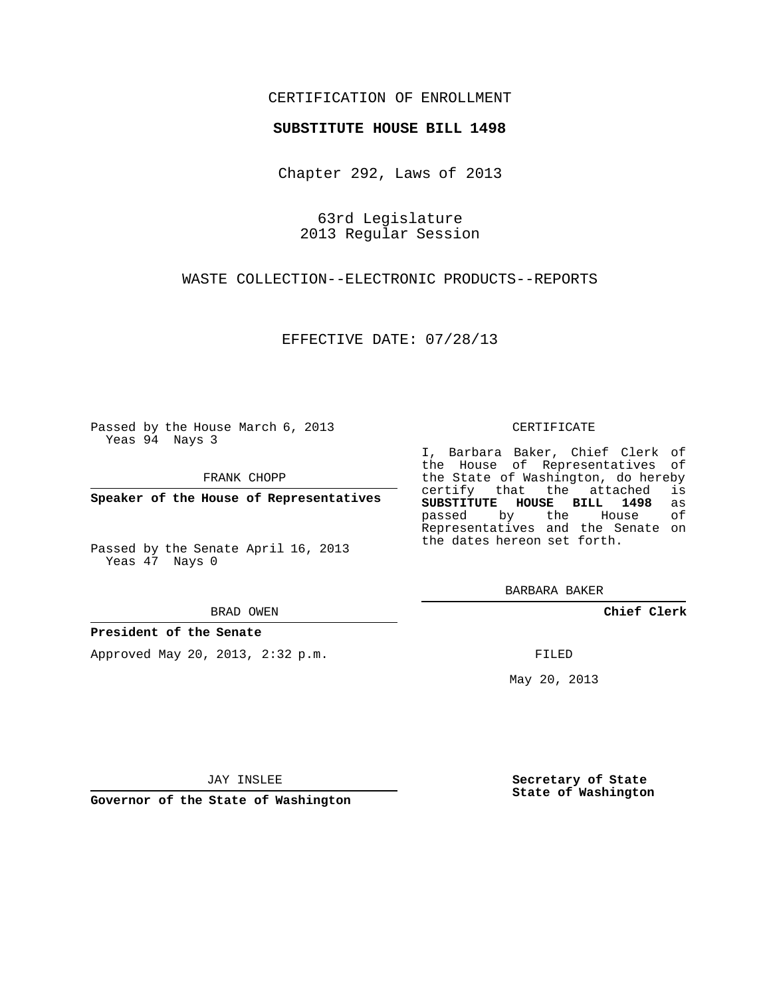## CERTIFICATION OF ENROLLMENT

### **SUBSTITUTE HOUSE BILL 1498**

Chapter 292, Laws of 2013

63rd Legislature 2013 Regular Session

WASTE COLLECTION--ELECTRONIC PRODUCTS--REPORTS

EFFECTIVE DATE: 07/28/13

Passed by the House March 6, 2013 Yeas 94 Nays 3

FRANK CHOPP

**Speaker of the House of Representatives**

Passed by the Senate April 16, 2013 Yeas 47 Nays 0

#### BRAD OWEN

### **President of the Senate**

Approved May 20, 2013, 2:32 p.m.

#### CERTIFICATE

I, Barbara Baker, Chief Clerk of the House of Representatives of the State of Washington, do hereby<br>certify that the attached is certify that the attached **SUBSTITUTE HOUSE BILL 1498** as passed by the House of Representatives and the Senate on the dates hereon set forth.

BARBARA BAKER

**Chief Clerk**

FILED

May 20, 2013

**Secretary of State State of Washington**

JAY INSLEE

**Governor of the State of Washington**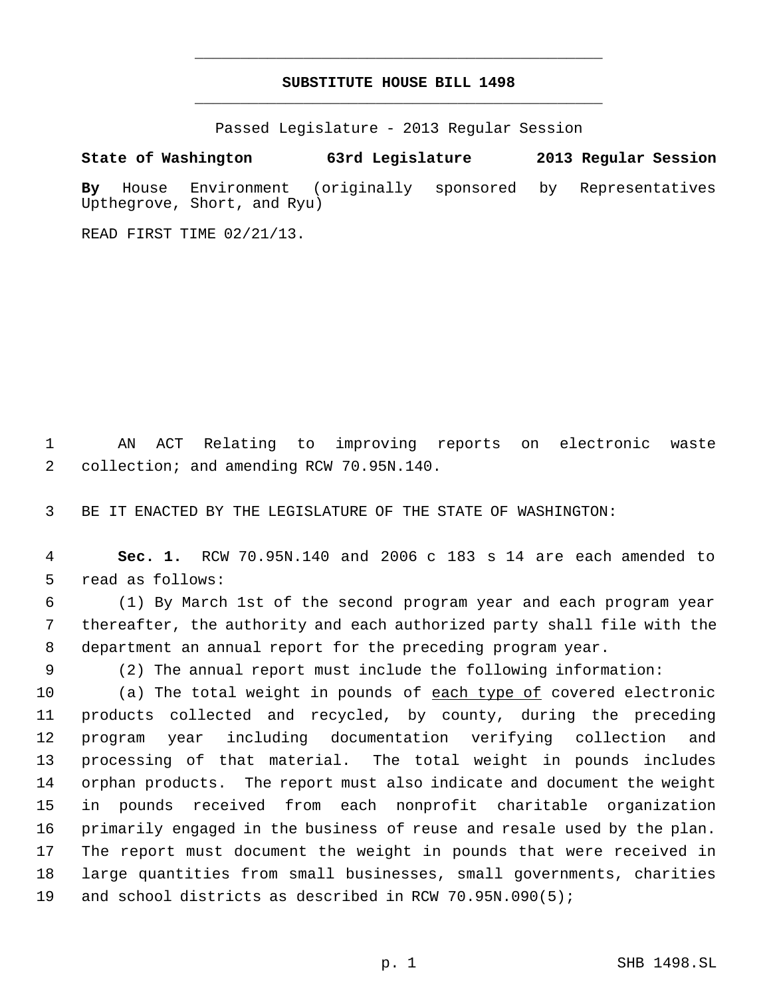# **SUBSTITUTE HOUSE BILL 1498** \_\_\_\_\_\_\_\_\_\_\_\_\_\_\_\_\_\_\_\_\_\_\_\_\_\_\_\_\_\_\_\_\_\_\_\_\_\_\_\_\_\_\_\_\_

\_\_\_\_\_\_\_\_\_\_\_\_\_\_\_\_\_\_\_\_\_\_\_\_\_\_\_\_\_\_\_\_\_\_\_\_\_\_\_\_\_\_\_\_\_

Passed Legislature - 2013 Regular Session

**State of Washington 63rd Legislature 2013 Regular Session By** House Environment (originally sponsored by Representatives Upthegrove, Short, and Ryu)

READ FIRST TIME 02/21/13.

 AN ACT Relating to improving reports on electronic waste 2 collection; and amending RCW 70.95N.140.

BE IT ENACTED BY THE LEGISLATURE OF THE STATE OF WASHINGTON:

 **Sec. 1.** RCW 70.95N.140 and 2006 c 183 s 14 are each amended to read as follows:

 (1) By March 1st of the second program year and each program year thereafter, the authority and each authorized party shall file with the department an annual report for the preceding program year.

(2) The annual report must include the following information:

10 (a) The total weight in pounds of each type of covered electronic products collected and recycled, by county, during the preceding program year including documentation verifying collection and processing of that material. The total weight in pounds includes orphan products. The report must also indicate and document the weight in pounds received from each nonprofit charitable organization primarily engaged in the business of reuse and resale used by the plan. The report must document the weight in pounds that were received in large quantities from small businesses, small governments, charities and school districts as described in RCW 70.95N.090(5);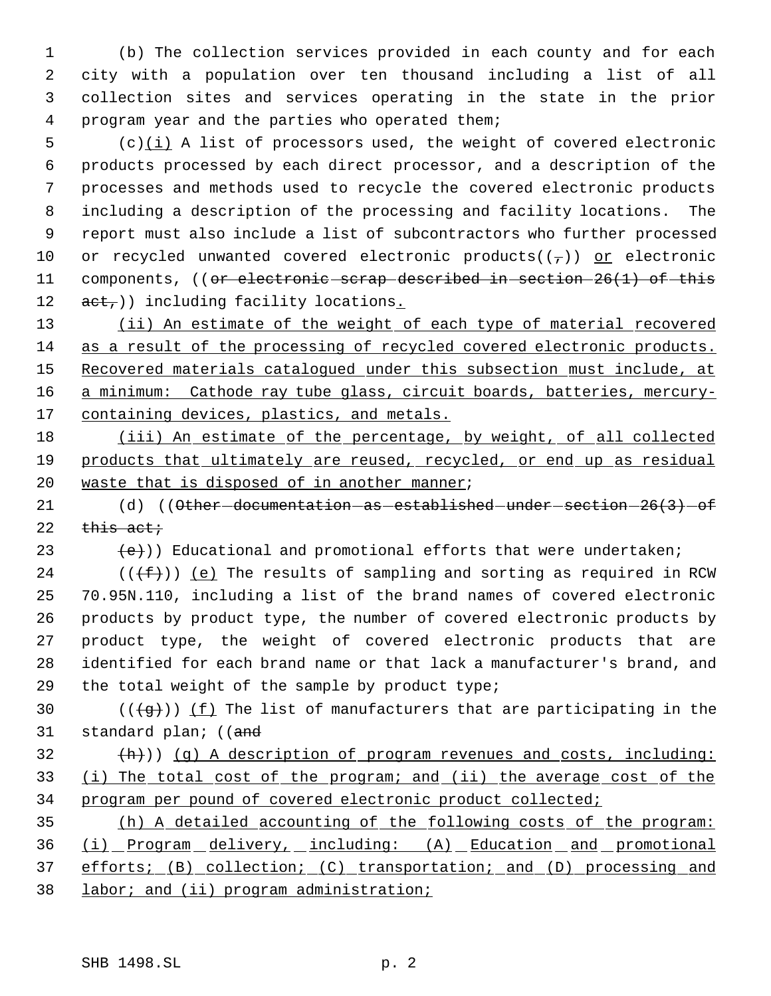(b) The collection services provided in each county and for each city with a population over ten thousand including a list of all collection sites and services operating in the state in the prior program year and the parties who operated them;

 (c) $(i)$  A list of processors used, the weight of covered electronic products processed by each direct processor, and a description of the processes and methods used to recycle the covered electronic products including a description of the processing and facility locations. The report must also include a list of subcontractors who further processed 10 or recycled unwanted covered electronic products( $(\tau)$ ) or electronic 11 components, ((or electronic scrap described in section 26(1) of this  $act$ , including facility locations.

13 (ii) An estimate of the weight of each type of material recovered 14 as a result of the processing of recycled covered electronic products. 15 Recovered materials catalogued under this subsection must include, at 16 a minimum: Cathode ray tube glass, circuit boards, batteries, mercury-17 containing devices, plastics, and metals.

18 (iii) An estimate of the percentage, by weight, of all collected 19 products that ultimately are reused, recycled, or end up as residual 20 waste that is disposed of in another manner;

21 (d) ((Other-documentation-as-established-under-section-26(3)-of 22  $\theta$  this act;

23  $(e)$ ) Educational and promotional efforts that were undertaken;

24 ( $(\{\pm\})$ ) (e) The results of sampling and sorting as required in RCW 70.95N.110, including a list of the brand names of covered electronic products by product type, the number of covered electronic products by product type, the weight of covered electronic products that are identified for each brand name or that lack a manufacturer's brand, and the total weight of the sample by product type;

30 ( $(\frac{1}{3})$ ) (f) The list of manufacturers that are participating in the 31 standard plan; ((and

 $\{\hbox{h}\}\)$  (g) A description of program revenues and costs, including: 33 (i) The total cost of the program; and (ii) the average cost of the 34 program per pound of covered electronic product collected;

 (h) A detailed accounting of the following costs of the program: (i) Program delivery, including: (A) Education and promotional efforts; (B) collection; (C) transportation; and (D) processing and 38 labor; and (ii) program administration;